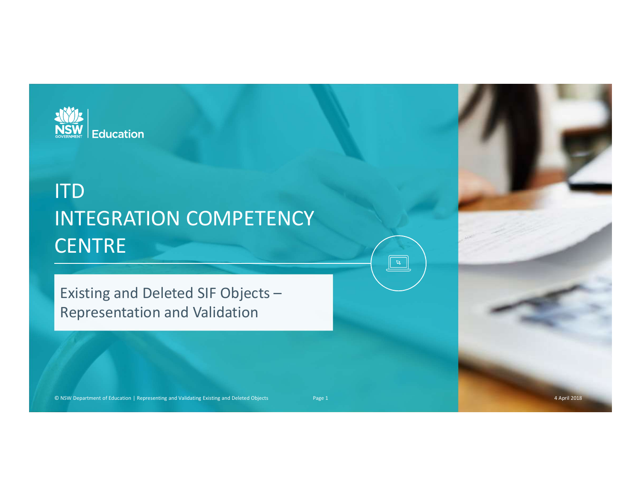

### ITD INTEGRATION COMPETENCY **CENTRE** NTEGRATION COMPETENCY<br>
CENTRE<br>
Existing and Deleted SIF Objects –<br>
Representation and Validation<br>
Page 1 2 April 2018

Existing and Deleted SIF Objects – Representation and Validation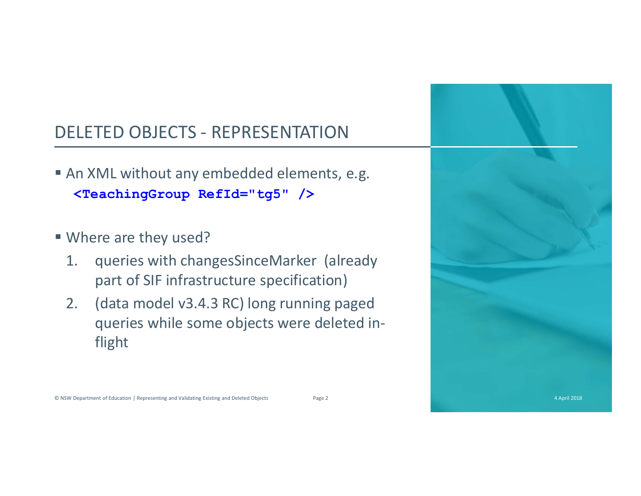- DELETED OBJECTS REPRESENTATION<br>
 An XML without any embedded elements, e.g.<br>
STeaching Group, Bef1d="t g5" (> An XML without any embedded elements, e.g. EXETED OBJECTS - REPRESENTATION<br>
In XML without any embedded elements, e.g.<br>
SpeachingGroup RefId="tg5" /><br>
Vhere are they used?<br>
. queries with changesSinceMarker (already
- Where are they used?
	- part of SIF infrastructure specification)
- ELETED OBJECTS REPRESENTATION<br>
An XML without any embedded elements, e.g.<br>
<br> **ExacchingGroup Ref1d="tg5"** /><br>
Where are they used?<br>
1. queries with changesSinceMarker (already<br>
part of SIF infrastructure specification)<br> queries while some objects were deleted inflight



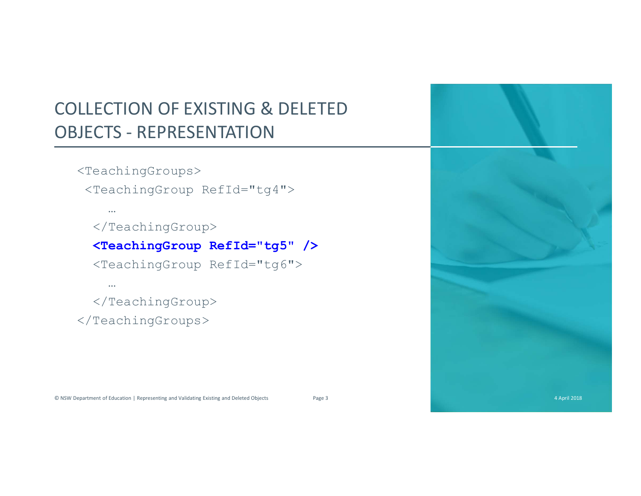### COLLECTION OF EXISTING & DELETED COLLECTION OF EXISTING & DELETED<br>OBJECTS - REPRESENTATION<br><TeachingGroups><br><TeachingGroup RefId="tg4"> LECTION OF EXISTING & DELETED<br>
ECTS - REPRESENTATION<br>
TeachingGroups><br>
<TeachingGroup RefId="tg4"><br>
-<br>
</TeachingGroup RefI**d="tg5" /><br>
<TeachingGroup RefId="tg5" />**<br>
<MeachingGroup RefId="tg5" /> ECTION OF EXISTING & DELETED<br>
CTS - REPRESENTATION<br>
eachingGroups><br>
TeachingGroup RefId="tg4"><br>
...<br>
</TeachingGroup RefI**d="tg5" /><br>
<TeachingGroup RefId="tg6">**<br>
...<br>
</TeachingGroup RefId="tg6"><br>
...<br>
</TeachingGroup><br> ECTION OF EXISTING & DELETED<br>
CTS - REPRESENTATION<br>
eachingGroups><br>
TeachingGroup RefId="tg4"><br>
...<br>
</TeachingGroup Ref**Id="tg5" /><br>
<rachingGroup RefId="tg6">**<br>
...<br>
</TeachingGroup RefId="tg6"><br>
...<br>
<br>
-<br>
reachingGroup>

<TeachingGroups>

…

</TeachingGroup>

# Construction | Reformation | Reformation | Reformation | Reformation | Reformation | Reformation | Reformation | Reformation | Reformation | Reformation | Reformation | Reformation | Reformation | Reformation | Reformatio

…

</TeachingGroup>

</TeachingGroups>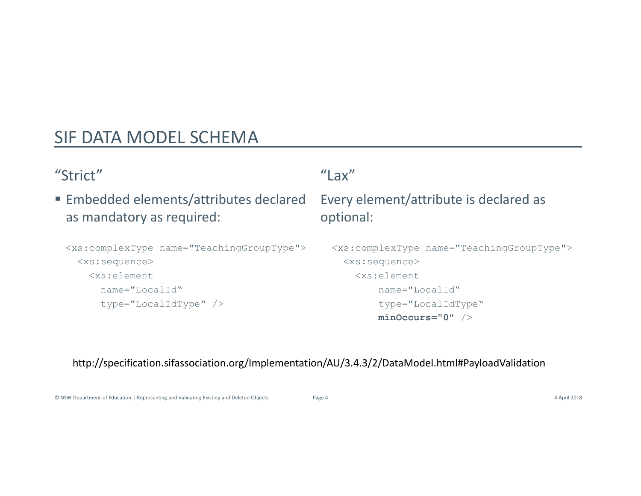### SIF DATA MODEL SCHEMA

### "Strict"

 Embedded elements/attributes declared as mandatory as required:

```
IF DATA MODEL SCHEMA<br>
Strict" "Lax"<br>
Embedded elements/attributes declared Every element/attribute<br>
as mandatory as required: "optional:<br>
<br>
ExacomplexType name="TeachingGroupType"> stacespiers"<br>
(xscelement stace)<br>
(xscele
    <xs:sequence>
        <xs:element
             name="LocalId"
             type="LocalIdType" />
```

```
"Lax"
```
### Every element/attribute is declared as optional:

ax"<br>ery element/attribute is declared as<br>btional:<br><xs:complexType name="TeachingGroupType"><br><xs:sequence><br><xs:element<br>name="LocalId"<br>type="LocalId"ppe" minoccurs="0" /> <xs:sequence> <xs:element name="LocalId" type="LocalIdType" minOccurs="0" /> ■ Embedded elements/attributes declared Every element/attribute is declared as<br>
as mandatory as required:<br>
<br>
<br>
«xs:complexType name="Teaching GroupType"><br>
<br>
«xs:sequence><br>
<br>
— xs:sequence><br>
<br>
— xs:sequence><br>
— xs:sequenc

http://specification.sifassociation.org/Implementation/AU/3.4.3/2/DataModel.html#PayloadValidation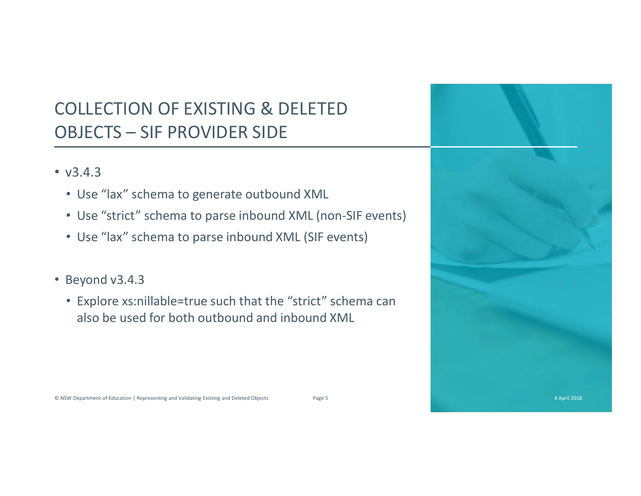# COLLECTION OF EXISTING & DELETED COLLECTION OF EXISTING & DELETED<br>OBJECTS – SIF PROVIDER SIDE<br>• v3.4.3<br>• Use "lax" schema to generate outbound XML

- v3.4.3
	- Use "lax" schema to generate outbound XML
	- Use "strict" schema to parse inbound XML (non-SIF events)
	- Use "lax" schema to parse inbound XML (SIF events)
- Beyond v3.4.3
	- Explore xs:nillable=true such that the "strict" schema can also be used for both outbound and inbound XML



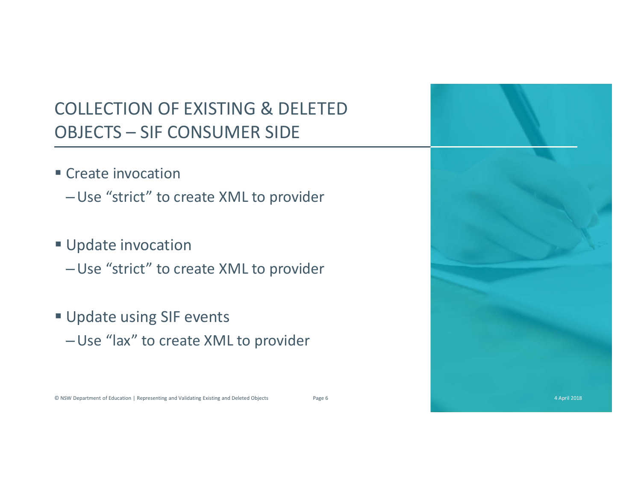# COLLECTION OF EXISTING & DELETED COLLECTION OF EXISTING & DELETED<br>OBJECTS – SIF CONSUMER SIDE<br>• Create invocation<br>- Lise "strict" to space YAL to applicate

### Create invocation

–Use "strict" to create XML to provider

### **Update invocation**

–Use "strict" to create XML to provider

## **Update using SIF events** –Use "lax" to create XML to provider <p>\n ∎ Update invocation<br/>\n ∪ Use "strict" to create XML to provider<br/>\n ∎ Update using SIF events<br/>\n ∼ Use "lax" to create XML to provider<br/>\n ∞not "lax" to create XML to provider<br/>\n ∘ <i>There</i> to the <i>There</i> to the <i>There</i> to the <i>There</i> to the <i>There</i> to the <i>There</i> to the <i>There</i> to the <i>There</i> to the <i>There</i> to the <i>There</i> to the <i>There</i> to the <i>There</i> to the <i>There</i> to the <i>There</i> to the <i>There</i> to the <i>There</i> to the <i>There</

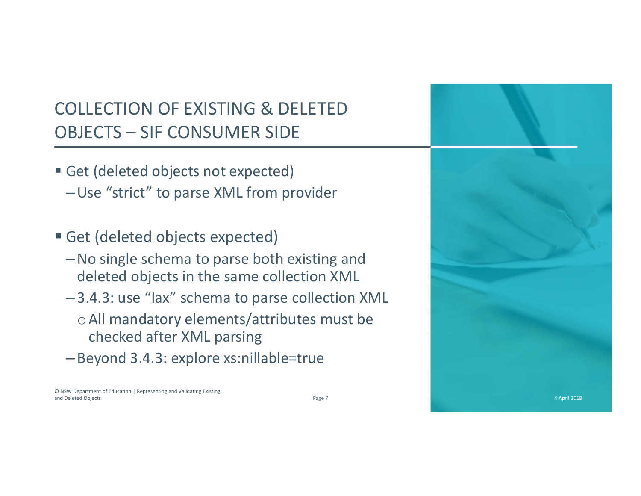# COLLECTION OF EXISTING & DELETED COLLECTION OF EXISTING & DELETED<br>OBJECTS – SIF CONSUMER SIDE<br>• Get (deleted objects not expected)<br>– Use "strict" to parse XML from provider

- Get (deleted objects not expected) –Use "strict" to parse XML from provider
- Get (deleted objects expected)
	- –No single schema to parse both existing and deleted objects in the same collection XML
	- –3.4.3: use "lax" schema to parse collection XML oAll mandatory elements/attributes must be checked after XML parsing
	- –Beyond 3.4.3: explore xs:nillable=true



© NSW Department of Education | Representing and Validating Existing